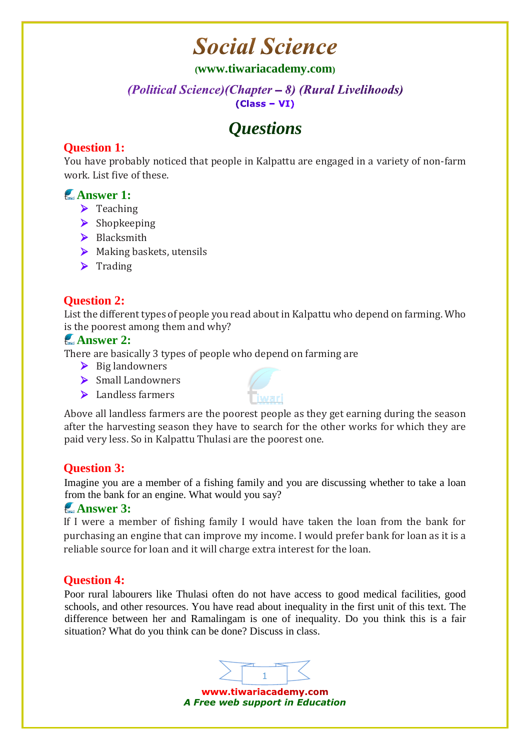## **Social Science**

#### **([www.tiwariacademy.com](http://www.tiwariacademy.com/))**

#### (Political Science) (Chapter – 8) (Rural Livelihoods)  $(Class - VI)$

## *Questions*

## **Question 1:**

You have probably noticed that people in Kalpattu are engaged in a variety of non-farm work. List five of these.

## **Answer 1:**

- $\blacktriangleright$  Teaching
- $\triangleright$  Shopkeeping
- $\triangleright$  Blacksmith
- $\triangleright$  Making baskets, utensils
- $\triangleright$  Trading

## **Question 2:**

List the different types of people you read about in Kalpattu who depend on farming. Who is the poorest among them and why?

#### **Answer 2:**

There are basically 3 types of people who depend on farming are

- $\triangleright$  Big landowners
- $\triangleright$  Small Landowners
- > Landless farmers



Above all landless farmers are the poorest people as they get earning during the season after the harvesting season they have to search for the other works for which they are paid very less. So in Kalpattu Thulasi are the poorest one.

## **Question 3:**

Imagine you are a member of a fishing family and you are discussing whether to take a loan from the bank for an engine. What would you say?

#### **Answer 3:**

If I were a member of fishing family I would have taken the loan from the bank for purchasing an engine that can improve my income. I would prefer bank for loan as it is a reliable source for loan and it will charge extra interest for the loan.

## **Question 4:**

Poor rural labourers like Thulasi often do not have access to good medical facilities, good schools, and other resources. You have read about inequality in the first unit of this text. The difference between her and Ramalingam is one of inequality. Do you think this is a fair situation? What do you think can be done? Discuss in class.



www.tiwariacademy.com *A Free web support in Education*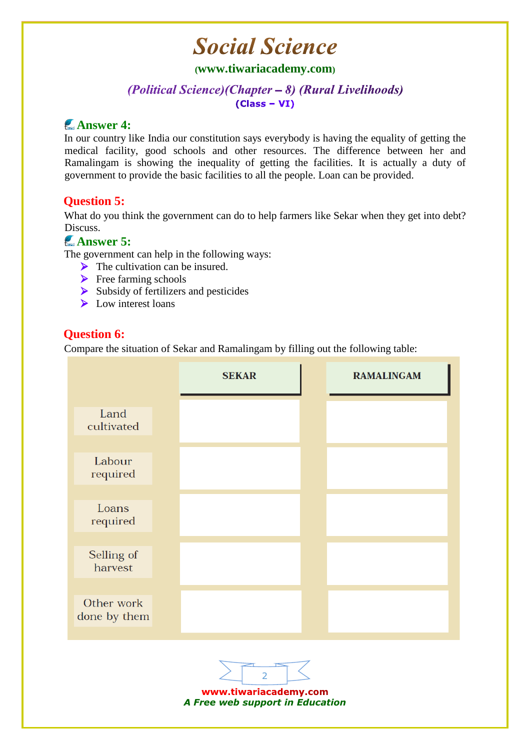## **Social Science**

#### **([www.tiwariacademy.com](http://www.tiwariacademy.com/))**

#### (Political Science) (Chapter – 8) (Rural Livelihoods)  $(Class - VI)$

## **Answer 4:**

In our country like India our constitution says everybody is having the equality of getting the medical facility, good schools and other resources. The difference between her and Ramalingam is showing the inequality of getting the facilities. It is actually a duty of government to provide the basic facilities to all the people. Loan can be provided.

## **Question 5:**

What do you think the government can do to help farmers like Sekar when they get into debt? Discuss.

## **Answer 5:**

The government can help in the following ways:

- $\triangleright$  The cultivation can be insured.
- $\blacktriangleright$  Free farming schools
- $\triangleright$  Subsidy of fertilizers and pesticides
- $\triangleright$  Low interest loans

#### **Question 6:**

Compare the situation of Sekar and Ramalingam by filling out the following table:





www.tiwariacademy.com *A Free web support in Education*